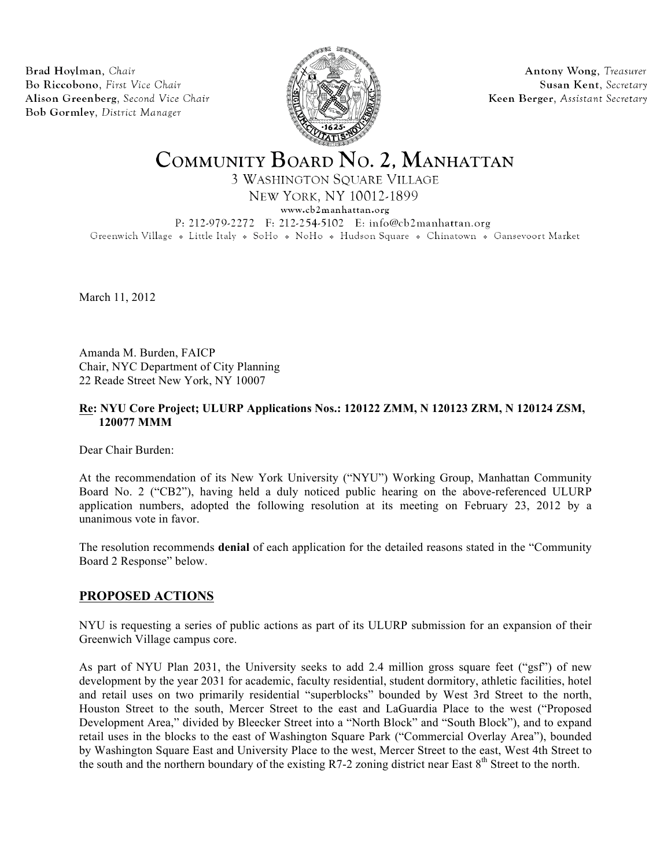Brad Hoylman, Chair Bo Riccobono, First Vice Chair Alison Greenberg, Second Vice Chair Bob Gormley, District Manager



Antony Wong, Treasurer Susan Kent, Secretary Keen Berger, Assistant Secretary

# COMMUNITY BOARD NO. 2, MANHATTAN

**3 WASHINGTON SQUARE VILLAGE** 

NEW YORK, NY 10012-1899

www.cb2manhattan.org

P: 212-979-2272 F: 212-254-5102 E: info@cb2manhattan.org

Greenwich Village • Little Italy • SoHo • NoHo • Hudson Square • Chinatown • Gansevoort Market

March 11, 2012

Amanda M. Burden, FAICP Chair, NYC Department of City Planning 22 Reade Street New York, NY 10007

# **Re: NYU Core Project; ULURP Applications Nos.: 120122 ZMM, N 120123 ZRM, N 120124 ZSM, 120077 MMM**

Dear Chair Burden:

At the recommendation of its New York University ("NYU") Working Group, Manhattan Community Board No. 2 ("CB2"), having held a duly noticed public hearing on the above-referenced ULURP application numbers, adopted the following resolution at its meeting on February 23, 2012 by a unanimous vote in favor.

The resolution recommends **denial** of each application for the detailed reasons stated in the "Community Board 2 Response" below.

# **PROPOSED ACTIONS**

NYU is requesting a series of public actions as part of its ULURP submission for an expansion of their Greenwich Village campus core.

As part of NYU Plan 2031, the University seeks to add 2.4 million gross square feet ("gsf") of new development by the year 2031 for academic, faculty residential, student dormitory, athletic facilities, hotel and retail uses on two primarily residential "superblocks" bounded by West 3rd Street to the north, Houston Street to the south, Mercer Street to the east and LaGuardia Place to the west ("Proposed Development Area," divided by Bleecker Street into a "North Block" and "South Block"), and to expand retail uses in the blocks to the east of Washington Square Park ("Commercial Overlay Area"), bounded by Washington Square East and University Place to the west, Mercer Street to the east, West 4th Street to the south and the northern boundary of the existing R7-2 zoning district near East 8<sup>th</sup> Street to the north.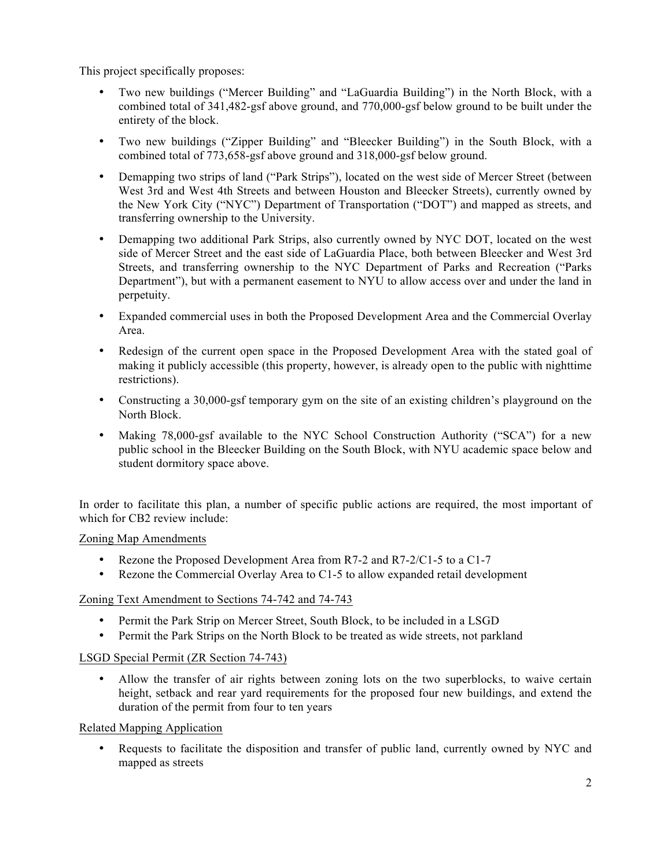This project specifically proposes:

- Two new buildings ("Mercer Building" and "LaGuardia Building") in the North Block, with a combined total of 341,482-gsf above ground, and 770,000-gsf below ground to be built under the entirety of the block.
- Two new buildings ("Zipper Building" and "Bleecker Building") in the South Block, with a combined total of 773,658-gsf above ground and 318,000-gsf below ground.
- Demapping two strips of land ("Park Strips"), located on the west side of Mercer Street (between West 3rd and West 4th Streets and between Houston and Bleecker Streets), currently owned by the New York City ("NYC") Department of Transportation ("DOT") and mapped as streets, and transferring ownership to the University.
- Demapping two additional Park Strips, also currently owned by NYC DOT, located on the west side of Mercer Street and the east side of LaGuardia Place, both between Bleecker and West 3rd Streets, and transferring ownership to the NYC Department of Parks and Recreation ("Parks Department"), but with a permanent easement to NYU to allow access over and under the land in perpetuity.
- Expanded commercial uses in both the Proposed Development Area and the Commercial Overlay Area.
- Redesign of the current open space in the Proposed Development Area with the stated goal of making it publicly accessible (this property, however, is already open to the public with nighttime restrictions).
- Constructing a 30,000-gsf temporary gym on the site of an existing children's playground on the North Block.
- Making 78,000-gsf available to the NYC School Construction Authority ("SCA") for a new public school in the Bleecker Building on the South Block, with NYU academic space below and student dormitory space above.

In order to facilitate this plan, a number of specific public actions are required, the most important of which for CB2 review include:

## Zoning Map Amendments

- Rezone the Proposed Development Area from R7-2 and R7-2/C1-5 to a C1-7
- Rezone the Commercial Overlay Area to C1-5 to allow expanded retail development

# Zoning Text Amendment to Sections 74-742 and 74-743

- Permit the Park Strip on Mercer Street, South Block, to be included in a LSGD
- Permit the Park Strips on the North Block to be treated as wide streets, not parkland

## LSGD Special Permit (ZR Section 74-743)

• Allow the transfer of air rights between zoning lots on the two superblocks, to waive certain height, setback and rear yard requirements for the proposed four new buildings, and extend the duration of the permit from four to ten years

## Related Mapping Application

• Requests to facilitate the disposition and transfer of public land, currently owned by NYC and mapped as streets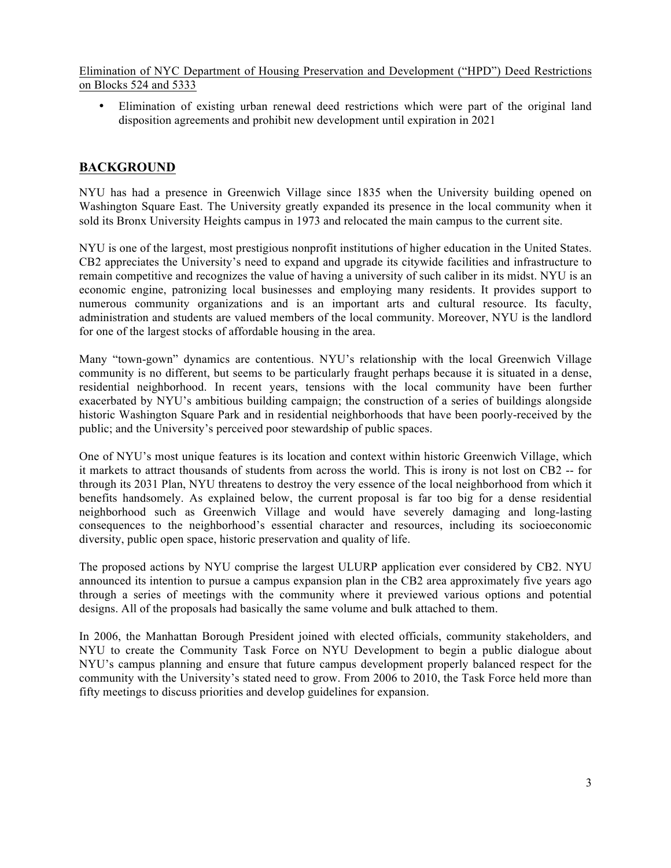Elimination of NYC Department of Housing Preservation and Development ("HPD") Deed Restrictions on Blocks 524 and 5333

• Elimination of existing urban renewal deed restrictions which were part of the original land disposition agreements and prohibit new development until expiration in 2021

# **BACKGROUND**

NYU has had a presence in Greenwich Village since 1835 when the University building opened on Washington Square East. The University greatly expanded its presence in the local community when it sold its Bronx University Heights campus in 1973 and relocated the main campus to the current site.

NYU is one of the largest, most prestigious nonprofit institutions of higher education in the United States. CB2 appreciates the University's need to expand and upgrade its citywide facilities and infrastructure to remain competitive and recognizes the value of having a university of such caliber in its midst. NYU is an economic engine, patronizing local businesses and employing many residents. It provides support to numerous community organizations and is an important arts and cultural resource. Its faculty, administration and students are valued members of the local community. Moreover, NYU is the landlord for one of the largest stocks of affordable housing in the area.

Many "town-gown" dynamics are contentious. NYU's relationship with the local Greenwich Village community is no different, but seems to be particularly fraught perhaps because it is situated in a dense, residential neighborhood. In recent years, tensions with the local community have been further exacerbated by NYU's ambitious building campaign; the construction of a series of buildings alongside historic Washington Square Park and in residential neighborhoods that have been poorly-received by the public; and the University's perceived poor stewardship of public spaces.

One of NYU's most unique features is its location and context within historic Greenwich Village, which it markets to attract thousands of students from across the world. This is irony is not lost on CB2 -- for through its 2031 Plan, NYU threatens to destroy the very essence of the local neighborhood from which it benefits handsomely. As explained below, the current proposal is far too big for a dense residential neighborhood such as Greenwich Village and would have severely damaging and long-lasting consequences to the neighborhood's essential character and resources, including its socioeconomic diversity, public open space, historic preservation and quality of life.

The proposed actions by NYU comprise the largest ULURP application ever considered by CB2. NYU announced its intention to pursue a campus expansion plan in the CB2 area approximately five years ago through a series of meetings with the community where it previewed various options and potential designs. All of the proposals had basically the same volume and bulk attached to them.

In 2006, the Manhattan Borough President joined with elected officials, community stakeholders, and NYU to create the Community Task Force on NYU Development to begin a public dialogue about NYU's campus planning and ensure that future campus development properly balanced respect for the community with the University's stated need to grow. From 2006 to 2010, the Task Force held more than fifty meetings to discuss priorities and develop guidelines for expansion.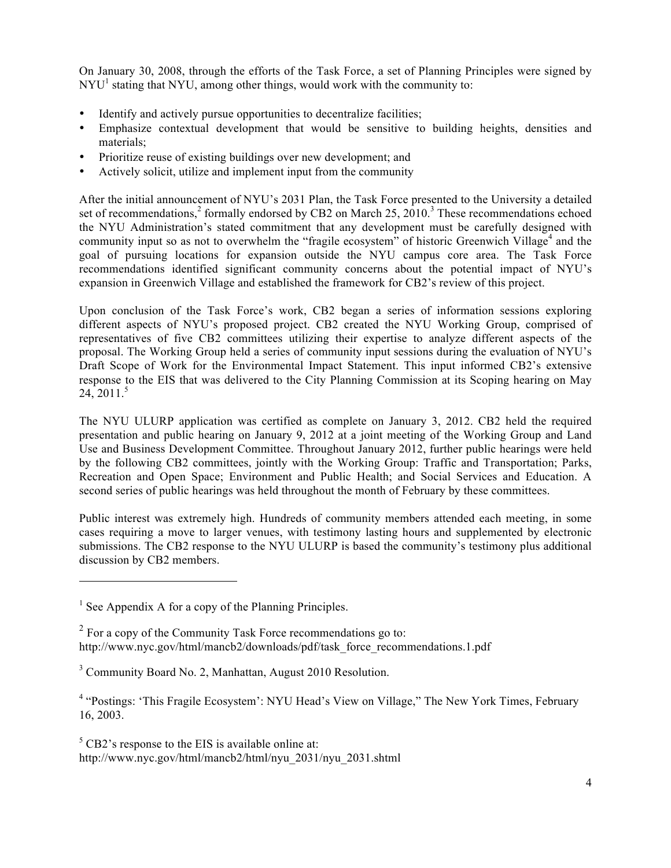On January 30, 2008, through the efforts of the Task Force, a set of Planning Principles were signed by  $NYU<sup>1</sup>$  stating that NYU, among other things, would work with the community to:

- Identify and actively pursue opportunities to decentralize facilities;
- Emphasize contextual development that would be sensitive to building heights, densities and materials;
- Prioritize reuse of existing buildings over new development; and
- Actively solicit, utilize and implement input from the community

After the initial announcement of NYU's 2031 Plan, the Task Force presented to the University a detailed set of recommendations,<sup>2</sup> formally endorsed by CB2 on March  $25$ ,  $2010$ .<sup>3</sup> These recommendations echoed the NYU Administration's stated commitment that any development must be carefully designed with community input so as not to overwhelm the "fragile ecosystem" of historic Greenwich Village<sup>4</sup> and the goal of pursuing locations for expansion outside the NYU campus core area. The Task Force recommendations identified significant community concerns about the potential impact of NYU's expansion in Greenwich Village and established the framework for CB2's review of this project.

Upon conclusion of the Task Force's work, CB2 began a series of information sessions exploring different aspects of NYU's proposed project. CB2 created the NYU Working Group, comprised of representatives of five CB2 committees utilizing their expertise to analyze different aspects of the proposal. The Working Group held a series of community input sessions during the evaluation of NYU's Draft Scope of Work for the Environmental Impact Statement. This input informed CB2's extensive response to the EIS that was delivered to the City Planning Commission at its Scoping hearing on May  $24, 2011.<sup>5</sup>$ 

The NYU ULURP application was certified as complete on January 3, 2012. CB2 held the required presentation and public hearing on January 9, 2012 at a joint meeting of the Working Group and Land Use and Business Development Committee. Throughout January 2012, further public hearings were held by the following CB2 committees, jointly with the Working Group: Traffic and Transportation; Parks, Recreation and Open Space; Environment and Public Health; and Social Services and Education. A second series of public hearings was held throughout the month of February by these committees.

Public interest was extremely high. Hundreds of community members attended each meeting, in some cases requiring a move to larger venues, with testimony lasting hours and supplemented by electronic submissions. The CB2 response to the NYU ULURP is based the community's testimony plus additional discussion by CB2 members.

 $5$  CB2's response to the EIS is available online at: http://www.nyc.gov/html/mancb2/html/nyu\_2031/nyu\_2031.shtml

 $<sup>1</sup>$  See Appendix A for a copy of the Planning Principles.</sup>

 $2 \text{ For a copy of the Community Task Force recommendations go to:}$ http://www.nyc.gov/html/mancb2/downloads/pdf/task\_force\_recommendations.1.pdf

<sup>3</sup> Community Board No. 2, Manhattan, August 2010 Resolution.

<sup>4</sup> "Postings: 'This Fragile Ecosystem': NYU Head's View on Village," The New York Times, February 16, 2003.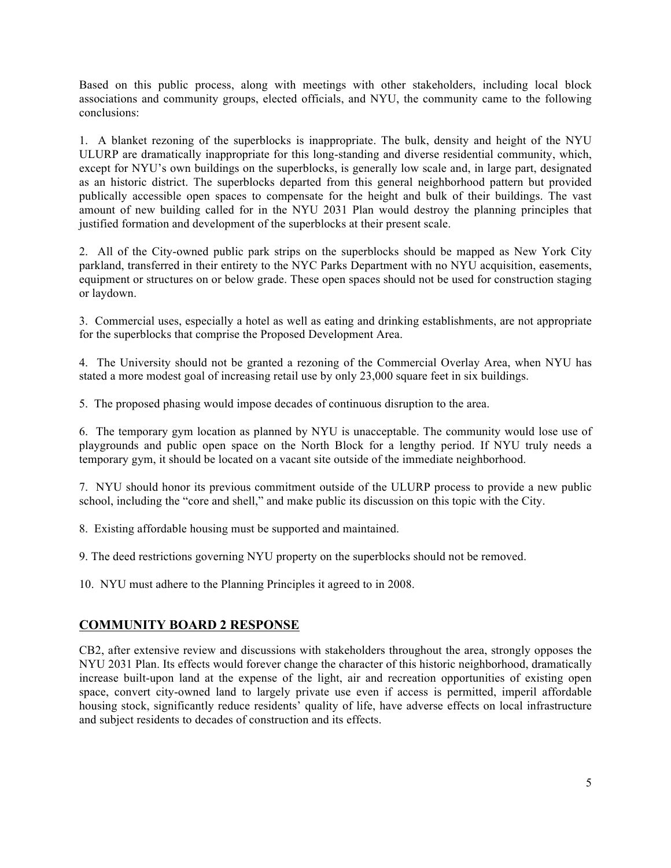Based on this public process, along with meetings with other stakeholders, including local block associations and community groups, elected officials, and NYU, the community came to the following conclusions:

1. A blanket rezoning of the superblocks is inappropriate. The bulk, density and height of the NYU ULURP are dramatically inappropriate for this long-standing and diverse residential community, which, except for NYU's own buildings on the superblocks, is generally low scale and, in large part, designated as an historic district. The superblocks departed from this general neighborhood pattern but provided publically accessible open spaces to compensate for the height and bulk of their buildings. The vast amount of new building called for in the NYU 2031 Plan would destroy the planning principles that justified formation and development of the superblocks at their present scale.

2. All of the City-owned public park strips on the superblocks should be mapped as New York City parkland, transferred in their entirety to the NYC Parks Department with no NYU acquisition, easements, equipment or structures on or below grade. These open spaces should not be used for construction staging or laydown.

3. Commercial uses, especially a hotel as well as eating and drinking establishments, are not appropriate for the superblocks that comprise the Proposed Development Area.

4. The University should not be granted a rezoning of the Commercial Overlay Area, when NYU has stated a more modest goal of increasing retail use by only 23,000 square feet in six buildings.

5. The proposed phasing would impose decades of continuous disruption to the area.

6. The temporary gym location as planned by NYU is unacceptable. The community would lose use of playgrounds and public open space on the North Block for a lengthy period. If NYU truly needs a temporary gym, it should be located on a vacant site outside of the immediate neighborhood.

7. NYU should honor its previous commitment outside of the ULURP process to provide a new public school, including the "core and shell," and make public its discussion on this topic with the City.

8. Existing affordable housing must be supported and maintained.

9. The deed restrictions governing NYU property on the superblocks should not be removed.

10. NYU must adhere to the Planning Principles it agreed to in 2008.

# **COMMUNITY BOARD 2 RESPONSE**

CB2, after extensive review and discussions with stakeholders throughout the area, strongly opposes the NYU 2031 Plan. Its effects would forever change the character of this historic neighborhood, dramatically increase built-upon land at the expense of the light, air and recreation opportunities of existing open space, convert city-owned land to largely private use even if access is permitted, imperil affordable housing stock, significantly reduce residents' quality of life, have adverse effects on local infrastructure and subject residents to decades of construction and its effects.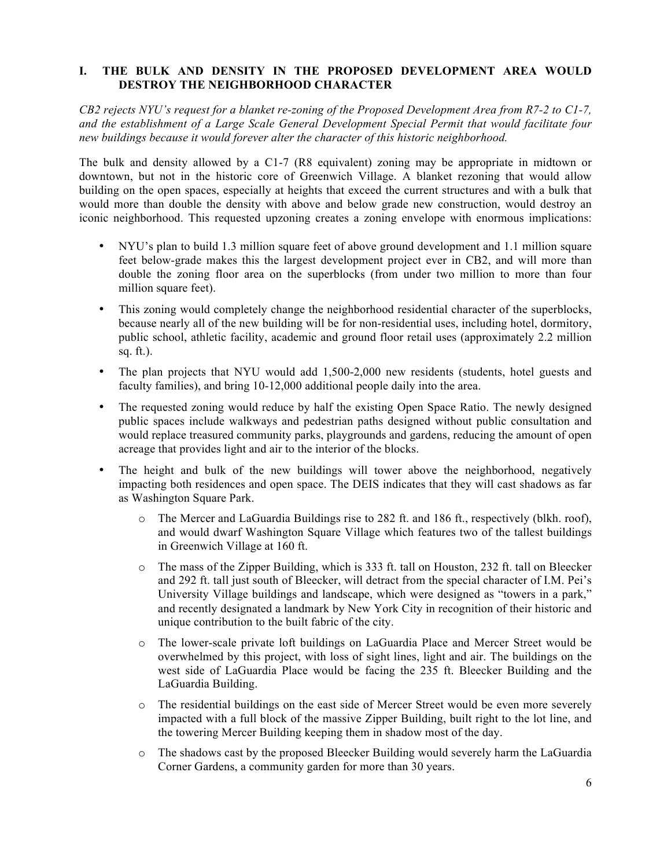# **I. THE BULK AND DENSITY IN THE PROPOSED DEVELOPMENT AREA WOULD DESTROY THE NEIGHBORHOOD CHARACTER**

*CB2 rejects NYU's request for a blanket re-zoning of the Proposed Development Area from R7-2 to C1-7, and the establishment of a Large Scale General Development Special Permit that would facilitate four new buildings because it would forever alter the character of this historic neighborhood.*

The bulk and density allowed by a C1-7 (R8 equivalent) zoning may be appropriate in midtown or downtown, but not in the historic core of Greenwich Village. A blanket rezoning that would allow building on the open spaces, especially at heights that exceed the current structures and with a bulk that would more than double the density with above and below grade new construction, would destroy an iconic neighborhood. This requested upzoning creates a zoning envelope with enormous implications:

- NYU's plan to build 1.3 million square feet of above ground development and 1.1 million square feet below-grade makes this the largest development project ever in CB2, and will more than double the zoning floor area on the superblocks (from under two million to more than four million square feet).
- This zoning would completely change the neighborhood residential character of the superblocks, because nearly all of the new building will be for non-residential uses, including hotel, dormitory, public school, athletic facility, academic and ground floor retail uses (approximately 2.2 million sq. ft.).
- The plan projects that NYU would add 1,500-2,000 new residents (students, hotel guests and faculty families), and bring 10-12,000 additional people daily into the area.
- The requested zoning would reduce by half the existing Open Space Ratio. The newly designed public spaces include walkways and pedestrian paths designed without public consultation and would replace treasured community parks, playgrounds and gardens, reducing the amount of open acreage that provides light and air to the interior of the blocks.
- The height and bulk of the new buildings will tower above the neighborhood, negatively impacting both residences and open space. The DEIS indicates that they will cast shadows as far as Washington Square Park.
	- o The Mercer and LaGuardia Buildings rise to 282 ft. and 186 ft., respectively (blkh. roof), and would dwarf Washington Square Village which features two of the tallest buildings in Greenwich Village at 160 ft.
	- o The mass of the Zipper Building, which is 333 ft. tall on Houston, 232 ft. tall on Bleecker and 292 ft. tall just south of Bleecker, will detract from the special character of I.M. Pei's University Village buildings and landscape, which were designed as "towers in a park," and recently designated a landmark by New York City in recognition of their historic and unique contribution to the built fabric of the city.
	- o The lower-scale private loft buildings on LaGuardia Place and Mercer Street would be overwhelmed by this project, with loss of sight lines, light and air. The buildings on the west side of LaGuardia Place would be facing the 235 ft. Bleecker Building and the LaGuardia Building.
	- o The residential buildings on the east side of Mercer Street would be even more severely impacted with a full block of the massive Zipper Building, built right to the lot line, and the towering Mercer Building keeping them in shadow most of the day.
	- o The shadows cast by the proposed Bleecker Building would severely harm the LaGuardia Corner Gardens, a community garden for more than 30 years.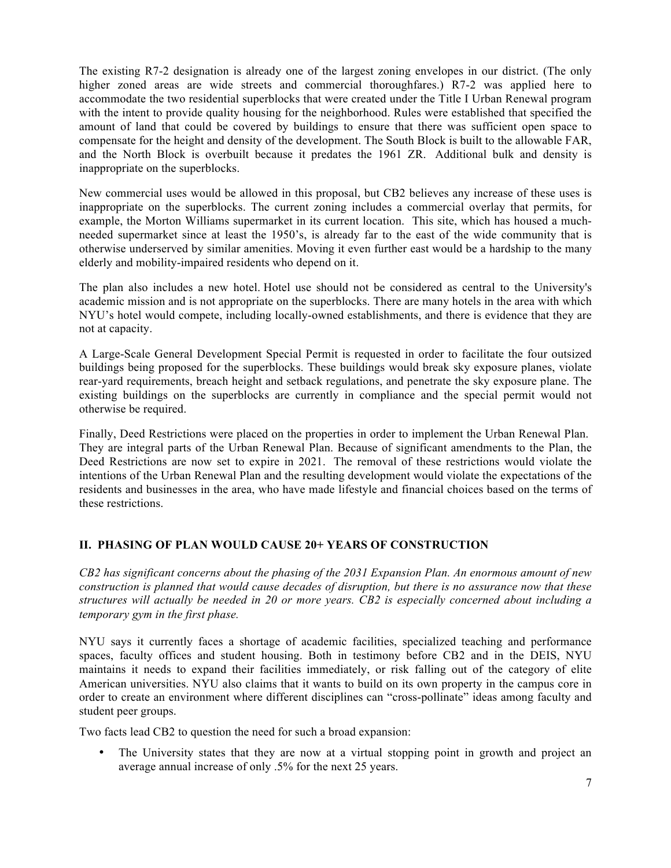The existing R7-2 designation is already one of the largest zoning envelopes in our district. (The only higher zoned areas are wide streets and commercial thoroughfares.) R7-2 was applied here to accommodate the two residential superblocks that were created under the Title I Urban Renewal program with the intent to provide quality housing for the neighborhood. Rules were established that specified the amount of land that could be covered by buildings to ensure that there was sufficient open space to compensate for the height and density of the development. The South Block is built to the allowable FAR, and the North Block is overbuilt because it predates the 1961 ZR. Additional bulk and density is inappropriate on the superblocks.

New commercial uses would be allowed in this proposal, but CB2 believes any increase of these uses is inappropriate on the superblocks. The current zoning includes a commercial overlay that permits, for example, the Morton Williams supermarket in its current location. This site, which has housed a muchneeded supermarket since at least the 1950's, is already far to the east of the wide community that is otherwise underserved by similar amenities. Moving it even further east would be a hardship to the many elderly and mobility-impaired residents who depend on it.

The plan also includes a new hotel. Hotel use should not be considered as central to the University's academic mission and is not appropriate on the superblocks. There are many hotels in the area with which NYU's hotel would compete, including locally-owned establishments, and there is evidence that they are not at capacity.

A Large-Scale General Development Special Permit is requested in order to facilitate the four outsized buildings being proposed for the superblocks. These buildings would break sky exposure planes, violate rear-yard requirements, breach height and setback regulations, and penetrate the sky exposure plane. The existing buildings on the superblocks are currently in compliance and the special permit would not otherwise be required.

Finally, Deed Restrictions were placed on the properties in order to implement the Urban Renewal Plan. They are integral parts of the Urban Renewal Plan. Because of significant amendments to the Plan, the Deed Restrictions are now set to expire in 2021. The removal of these restrictions would violate the intentions of the Urban Renewal Plan and the resulting development would violate the expectations of the residents and businesses in the area, who have made lifestyle and financial choices based on the terms of these restrictions.

# **II. PHASING OF PLAN WOULD CAUSE 20+ YEARS OF CONSTRUCTION**

*CB2 has significant concerns about the phasing of the 2031 Expansion Plan. An enormous amount of new construction is planned that would cause decades of disruption, but there is no assurance now that these structures will actually be needed in 20 or more years. CB2 is especially concerned about including a temporary gym in the first phase.* 

NYU says it currently faces a shortage of academic facilities, specialized teaching and performance spaces, faculty offices and student housing. Both in testimony before CB2 and in the DEIS, NYU maintains it needs to expand their facilities immediately, or risk falling out of the category of elite American universities. NYU also claims that it wants to build on its own property in the campus core in order to create an environment where different disciplines can "cross-pollinate" ideas among faculty and student peer groups.

Two facts lead CB2 to question the need for such a broad expansion:

The University states that they are now at a virtual stopping point in growth and project an average annual increase of only .5% for the next 25 years.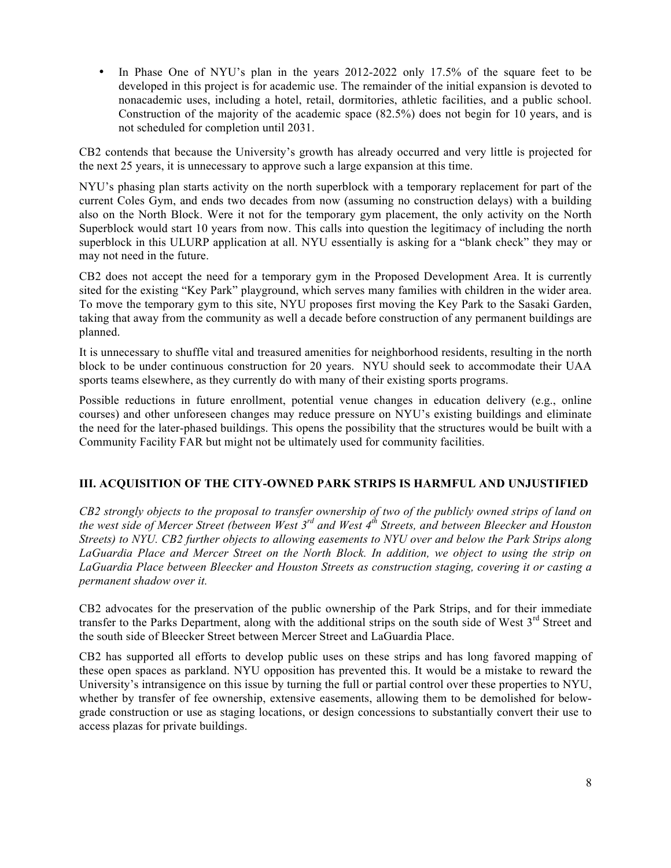• In Phase One of NYU's plan in the years 2012-2022 only 17.5% of the square feet to be developed in this project is for academic use. The remainder of the initial expansion is devoted to nonacademic uses, including a hotel, retail, dormitories, athletic facilities, and a public school. Construction of the majority of the academic space (82.5%) does not begin for 10 years, and is not scheduled for completion until 2031.

CB2 contends that because the University's growth has already occurred and very little is projected for the next 25 years, it is unnecessary to approve such a large expansion at this time.

NYU's phasing plan starts activity on the north superblock with a temporary replacement for part of the current Coles Gym, and ends two decades from now (assuming no construction delays) with a building also on the North Block. Were it not for the temporary gym placement, the only activity on the North Superblock would start 10 years from now. This calls into question the legitimacy of including the north superblock in this ULURP application at all. NYU essentially is asking for a "blank check" they may or may not need in the future.

CB2 does not accept the need for a temporary gym in the Proposed Development Area. It is currently sited for the existing "Key Park" playground, which serves many families with children in the wider area. To move the temporary gym to this site, NYU proposes first moving the Key Park to the Sasaki Garden, taking that away from the community as well a decade before construction of any permanent buildings are planned.

It is unnecessary to shuffle vital and treasured amenities for neighborhood residents, resulting in the north block to be under continuous construction for 20 years. NYU should seek to accommodate their UAA sports teams elsewhere, as they currently do with many of their existing sports programs.

Possible reductions in future enrollment, potential venue changes in education delivery (e.g., online courses) and other unforeseen changes may reduce pressure on NYU's existing buildings and eliminate the need for the later-phased buildings. This opens the possibility that the structures would be built with a Community Facility FAR but might not be ultimately used for community facilities.

## **III. ACQUISITION OF THE CITY-OWNED PARK STRIPS IS HARMFUL AND UNJUSTIFIED**

*CB2 strongly objects to the proposal to transfer ownership of two of the publicly owned strips of land on the west side of Mercer Street (between West 3rd and West 4th Streets, and between Bleecker and Houston Streets) to NYU. CB2 further objects to allowing easements to NYU over and below the Park Strips along LaGuardia Place and Mercer Street on the North Block. In addition, we object to using the strip on LaGuardia Place between Bleecker and Houston Streets as construction staging, covering it or casting a permanent shadow over it.*

CB2 advocates for the preservation of the public ownership of the Park Strips, and for their immediate transfer to the Parks Department, along with the additional strips on the south side of West  $3<sup>rd</sup>$  Street and the south side of Bleecker Street between Mercer Street and LaGuardia Place.

CB2 has supported all efforts to develop public uses on these strips and has long favored mapping of these open spaces as parkland. NYU opposition has prevented this. It would be a mistake to reward the University's intransigence on this issue by turning the full or partial control over these properties to NYU, whether by transfer of fee ownership, extensive easements, allowing them to be demolished for belowgrade construction or use as staging locations, or design concessions to substantially convert their use to access plazas for private buildings.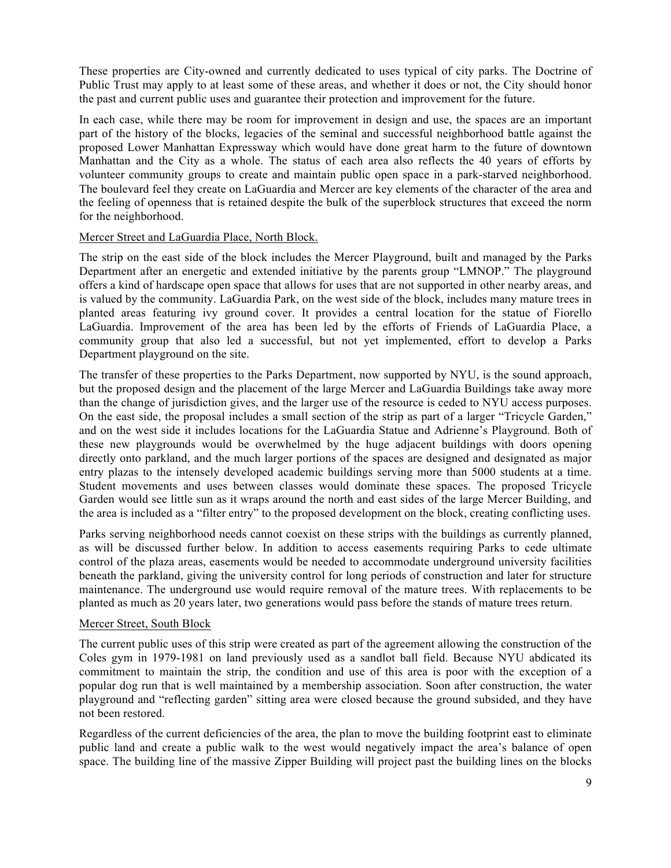These properties are City-owned and currently dedicated to uses typical of city parks. The Doctrine of Public Trust may apply to at least some of these areas, and whether it does or not, the City should honor the past and current public uses and guarantee their protection and improvement for the future.

In each case, while there may be room for improvement in design and use, the spaces are an important part of the history of the blocks, legacies of the seminal and successful neighborhood battle against the proposed Lower Manhattan Expressway which would have done great harm to the future of downtown Manhattan and the City as a whole. The status of each area also reflects the 40 years of efforts by volunteer community groups to create and maintain public open space in a park-starved neighborhood. The boulevard feel they create on LaGuardia and Mercer are key elements of the character of the area and the feeling of openness that is retained despite the bulk of the superblock structures that exceed the norm for the neighborhood.

## Mercer Street and LaGuardia Place, North Block.

The strip on the east side of the block includes the Mercer Playground, built and managed by the Parks Department after an energetic and extended initiative by the parents group "LMNOP." The playground offers a kind of hardscape open space that allows for uses that are not supported in other nearby areas, and is valued by the community. LaGuardia Park, on the west side of the block, includes many mature trees in planted areas featuring ivy ground cover. It provides a central location for the statue of Fiorello LaGuardia. Improvement of the area has been led by the efforts of Friends of LaGuardia Place, a community group that also led a successful, but not yet implemented, effort to develop a Parks Department playground on the site.

The transfer of these properties to the Parks Department, now supported by NYU, is the sound approach, but the proposed design and the placement of the large Mercer and LaGuardia Buildings take away more than the change of jurisdiction gives, and the larger use of the resource is ceded to NYU access purposes. On the east side, the proposal includes a small section of the strip as part of a larger "Tricycle Garden," and on the west side it includes locations for the LaGuardia Statue and Adrienne's Playground. Both of these new playgrounds would be overwhelmed by the huge adjacent buildings with doors opening directly onto parkland, and the much larger portions of the spaces are designed and designated as major entry plazas to the intensely developed academic buildings serving more than 5000 students at a time. Student movements and uses between classes would dominate these spaces. The proposed Tricycle Garden would see little sun as it wraps around the north and east sides of the large Mercer Building, and the area is included as a "filter entry" to the proposed development on the block, creating conflicting uses.

Parks serving neighborhood needs cannot coexist on these strips with the buildings as currently planned, as will be discussed further below. In addition to access easements requiring Parks to cede ultimate control of the plaza areas, easements would be needed to accommodate underground university facilities beneath the parkland, giving the university control for long periods of construction and later for structure maintenance. The underground use would require removal of the mature trees. With replacements to be planted as much as 20 years later, two generations would pass before the stands of mature trees return.

## Mercer Street, South Block

The current public uses of this strip were created as part of the agreement allowing the construction of the Coles gym in 1979-1981 on land previously used as a sandlot ball field. Because NYU abdicated its commitment to maintain the strip, the condition and use of this area is poor with the exception of a popular dog run that is well maintained by a membership association. Soon after construction, the water playground and "reflecting garden" sitting area were closed because the ground subsided, and they have not been restored.

Regardless of the current deficiencies of the area, the plan to move the building footprint east to eliminate public land and create a public walk to the west would negatively impact the area's balance of open space. The building line of the massive Zipper Building will project past the building lines on the blocks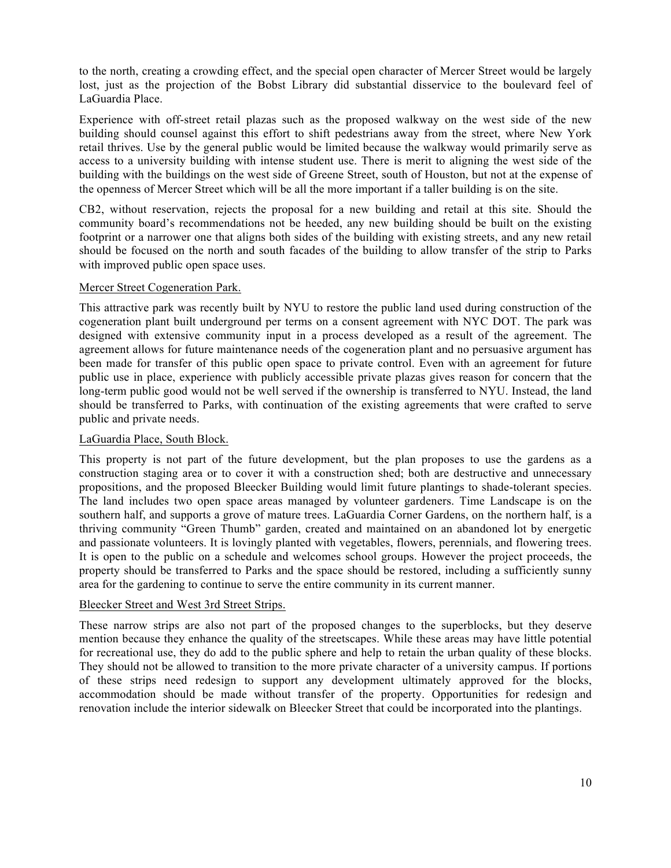to the north, creating a crowding effect, and the special open character of Mercer Street would be largely lost, just as the projection of the Bobst Library did substantial disservice to the boulevard feel of LaGuardia Place.

Experience with off-street retail plazas such as the proposed walkway on the west side of the new building should counsel against this effort to shift pedestrians away from the street, where New York retail thrives. Use by the general public would be limited because the walkway would primarily serve as access to a university building with intense student use. There is merit to aligning the west side of the building with the buildings on the west side of Greene Street, south of Houston, but not at the expense of the openness of Mercer Street which will be all the more important if a taller building is on the site.

CB2, without reservation, rejects the proposal for a new building and retail at this site. Should the community board's recommendations not be heeded, any new building should be built on the existing footprint or a narrower one that aligns both sides of the building with existing streets, and any new retail should be focused on the north and south facades of the building to allow transfer of the strip to Parks with improved public open space uses.

## Mercer Street Cogeneration Park.

This attractive park was recently built by NYU to restore the public land used during construction of the cogeneration plant built underground per terms on a consent agreement with NYC DOT. The park was designed with extensive community input in a process developed as a result of the agreement. The agreement allows for future maintenance needs of the cogeneration plant and no persuasive argument has been made for transfer of this public open space to private control. Even with an agreement for future public use in place, experience with publicly accessible private plazas gives reason for concern that the long-term public good would not be well served if the ownership is transferred to NYU. Instead, the land should be transferred to Parks, with continuation of the existing agreements that were crafted to serve public and private needs.

# LaGuardia Place, South Block.

This property is not part of the future development, but the plan proposes to use the gardens as a construction staging area or to cover it with a construction shed; both are destructive and unnecessary propositions, and the proposed Bleecker Building would limit future plantings to shade-tolerant species. The land includes two open space areas managed by volunteer gardeners. Time Landscape is on the southern half, and supports a grove of mature trees. LaGuardia Corner Gardens, on the northern half, is a thriving community "Green Thumb" garden, created and maintained on an abandoned lot by energetic and passionate volunteers. It is lovingly planted with vegetables, flowers, perennials, and flowering trees. It is open to the public on a schedule and welcomes school groups. However the project proceeds, the property should be transferred to Parks and the space should be restored, including a sufficiently sunny area for the gardening to continue to serve the entire community in its current manner.

## Bleecker Street and West 3rd Street Strips.

These narrow strips are also not part of the proposed changes to the superblocks, but they deserve mention because they enhance the quality of the streetscapes. While these areas may have little potential for recreational use, they do add to the public sphere and help to retain the urban quality of these blocks. They should not be allowed to transition to the more private character of a university campus. If portions of these strips need redesign to support any development ultimately approved for the blocks, accommodation should be made without transfer of the property. Opportunities for redesign and renovation include the interior sidewalk on Bleecker Street that could be incorporated into the plantings.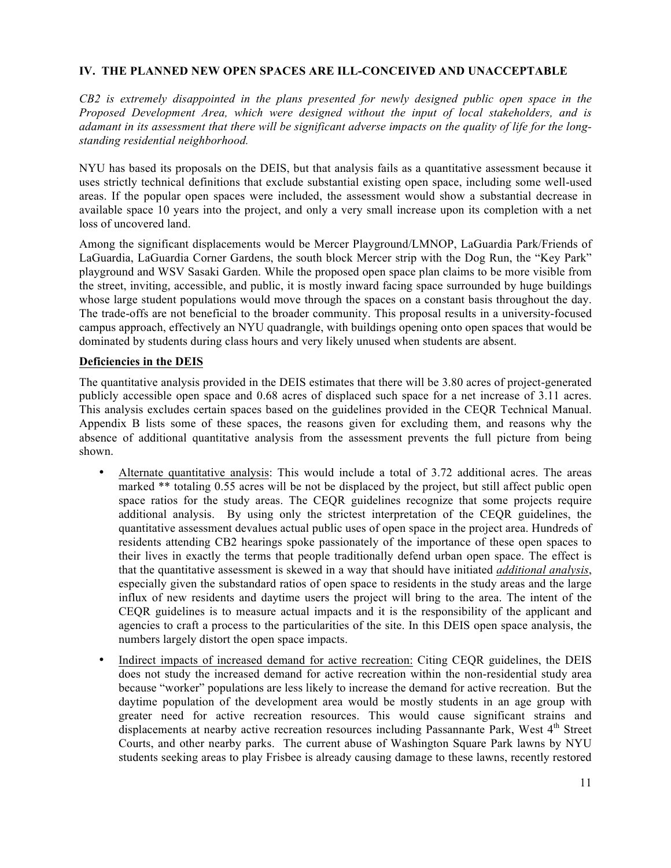## **IV. THE PLANNED NEW OPEN SPACES ARE ILL-CONCEIVED AND UNACCEPTABLE**

*CB2 is extremely disappointed in the plans presented for newly designed public open space in the Proposed Development Area, which were designed without the input of local stakeholders, and is adamant in its assessment that there will be significant adverse impacts on the quality of life for the longstanding residential neighborhood.* 

NYU has based its proposals on the DEIS, but that analysis fails as a quantitative assessment because it uses strictly technical definitions that exclude substantial existing open space, including some well-used areas. If the popular open spaces were included, the assessment would show a substantial decrease in available space 10 years into the project, and only a very small increase upon its completion with a net loss of uncovered land.

Among the significant displacements would be Mercer Playground/LMNOP, LaGuardia Park/Friends of LaGuardia, LaGuardia Corner Gardens, the south block Mercer strip with the Dog Run, the "Key Park" playground and WSV Sasaki Garden. While the proposed open space plan claims to be more visible from the street, inviting, accessible, and public, it is mostly inward facing space surrounded by huge buildings whose large student populations would move through the spaces on a constant basis throughout the day. The trade-offs are not beneficial to the broader community. This proposal results in a university-focused campus approach, effectively an NYU quadrangle, with buildings opening onto open spaces that would be dominated by students during class hours and very likely unused when students are absent.

# **Deficiencies in the DEIS**

The quantitative analysis provided in the DEIS estimates that there will be 3.80 acres of project-generated publicly accessible open space and 0.68 acres of displaced such space for a net increase of 3.11 acres. This analysis excludes certain spaces based on the guidelines provided in the CEQR Technical Manual. Appendix B lists some of these spaces, the reasons given for excluding them, and reasons why the absence of additional quantitative analysis from the assessment prevents the full picture from being shown.

- Alternate quantitative analysis: This would include a total of 3.72 additional acres. The areas marked \*\* totaling 0.55 acres will be not be displaced by the project, but still affect public open space ratios for the study areas. The CEQR guidelines recognize that some projects require additional analysis. By using only the strictest interpretation of the CEQR guidelines, the quantitative assessment devalues actual public uses of open space in the project area. Hundreds of residents attending CB2 hearings spoke passionately of the importance of these open spaces to their lives in exactly the terms that people traditionally defend urban open space. The effect is that the quantitative assessment is skewed in a way that should have initiated *additional analysis*, especially given the substandard ratios of open space to residents in the study areas and the large influx of new residents and daytime users the project will bring to the area. The intent of the CEQR guidelines is to measure actual impacts and it is the responsibility of the applicant and agencies to craft a process to the particularities of the site. In this DEIS open space analysis, the numbers largely distort the open space impacts.
- Indirect impacts of increased demand for active recreation: Citing CEQR guidelines, the DEIS does not study the increased demand for active recreation within the non-residential study area because "worker" populations are less likely to increase the demand for active recreation. But the daytime population of the development area would be mostly students in an age group with greater need for active recreation resources. This would cause significant strains and displacements at nearby active recreation resources including Passannante Park, West  $4<sup>th</sup>$  Street Courts, and other nearby parks. The current abuse of Washington Square Park lawns by NYU students seeking areas to play Frisbee is already causing damage to these lawns, recently restored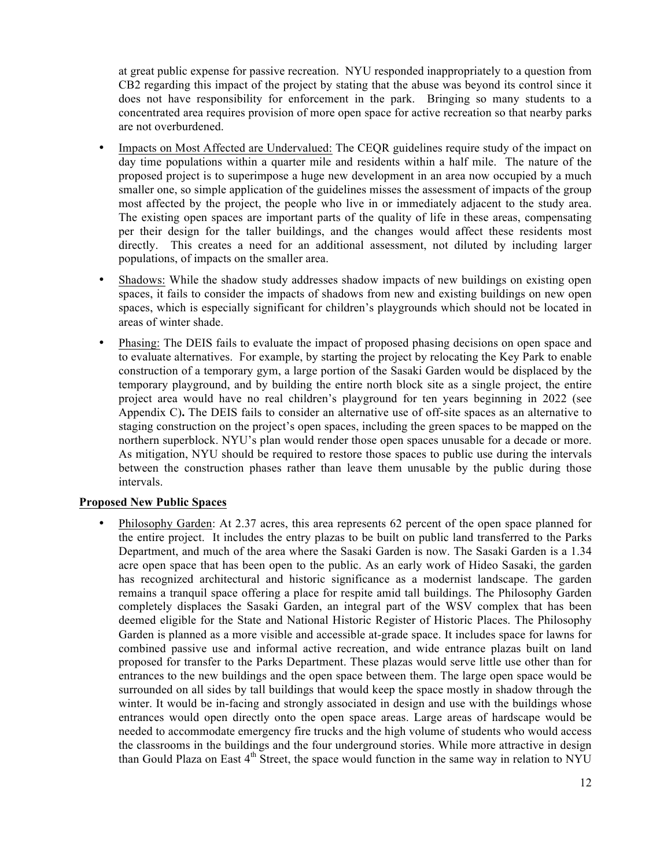at great public expense for passive recreation. NYU responded inappropriately to a question from CB2 regarding this impact of the project by stating that the abuse was beyond its control since it does not have responsibility for enforcement in the park. Bringing so many students to a concentrated area requires provision of more open space for active recreation so that nearby parks are not overburdened.

- Impacts on Most Affected are Undervalued: The CEQR guidelines require study of the impact on day time populations within a quarter mile and residents within a half mile. The nature of the proposed project is to superimpose a huge new development in an area now occupied by a much smaller one, so simple application of the guidelines misses the assessment of impacts of the group most affected by the project, the people who live in or immediately adjacent to the study area. The existing open spaces are important parts of the quality of life in these areas, compensating per their design for the taller buildings, and the changes would affect these residents most directly. This creates a need for an additional assessment, not diluted by including larger populations, of impacts on the smaller area.
- Shadows: While the shadow study addresses shadow impacts of new buildings on existing open spaces, it fails to consider the impacts of shadows from new and existing buildings on new open spaces, which is especially significant for children's playgrounds which should not be located in areas of winter shade.
- Phasing: The DEIS fails to evaluate the impact of proposed phasing decisions on open space and to evaluate alternatives. For example, by starting the project by relocating the Key Park to enable construction of a temporary gym, a large portion of the Sasaki Garden would be displaced by the temporary playground, and by building the entire north block site as a single project, the entire project area would have no real children's playground for ten years beginning in 2022 (see Appendix C)**.** The DEIS fails to consider an alternative use of off-site spaces as an alternative to staging construction on the project's open spaces, including the green spaces to be mapped on the northern superblock. NYU's plan would render those open spaces unusable for a decade or more. As mitigation, NYU should be required to restore those spaces to public use during the intervals between the construction phases rather than leave them unusable by the public during those intervals.

## **Proposed New Public Spaces**

• Philosophy Garden: At 2.37 acres, this area represents 62 percent of the open space planned for the entire project. It includes the entry plazas to be built on public land transferred to the Parks Department, and much of the area where the Sasaki Garden is now. The Sasaki Garden is a 1.34 acre open space that has been open to the public. As an early work of Hideo Sasaki, the garden has recognized architectural and historic significance as a modernist landscape. The garden remains a tranquil space offering a place for respite amid tall buildings. The Philosophy Garden completely displaces the Sasaki Garden, an integral part of the WSV complex that has been deemed eligible for the State and National Historic Register of Historic Places. The Philosophy Garden is planned as a more visible and accessible at-grade space. It includes space for lawns for combined passive use and informal active recreation, and wide entrance plazas built on land proposed for transfer to the Parks Department. These plazas would serve little use other than for entrances to the new buildings and the open space between them. The large open space would be surrounded on all sides by tall buildings that would keep the space mostly in shadow through the winter. It would be in-facing and strongly associated in design and use with the buildings whose entrances would open directly onto the open space areas. Large areas of hardscape would be needed to accommodate emergency fire trucks and the high volume of students who would access the classrooms in the buildings and the four underground stories. While more attractive in design than Gould Plaza on East  $4<sup>th</sup>$  Street, the space would function in the same way in relation to NYU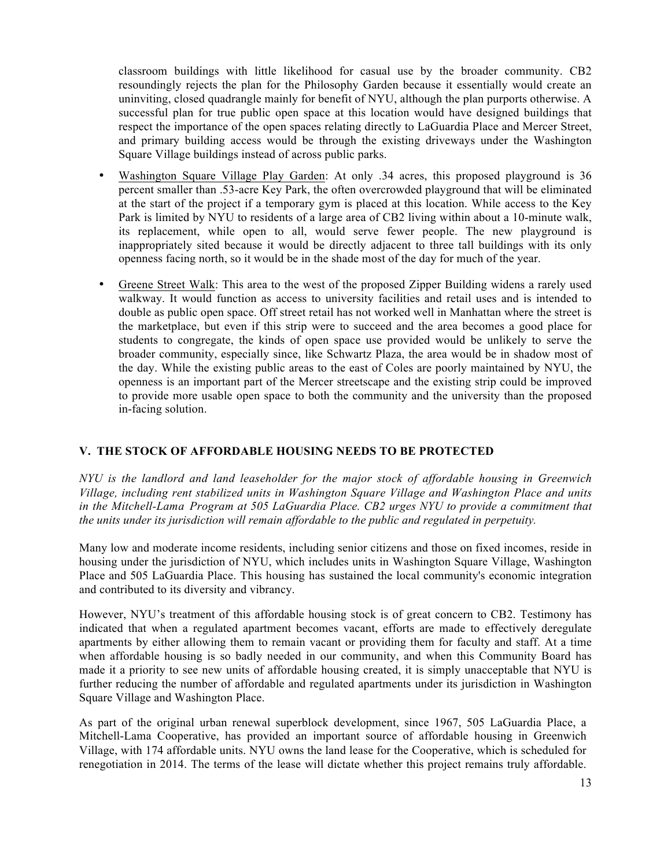classroom buildings with little likelihood for casual use by the broader community. CB2 resoundingly rejects the plan for the Philosophy Garden because it essentially would create an uninviting, closed quadrangle mainly for benefit of NYU, although the plan purports otherwise. A successful plan for true public open space at this location would have designed buildings that respect the importance of the open spaces relating directly to LaGuardia Place and Mercer Street, and primary building access would be through the existing driveways under the Washington Square Village buildings instead of across public parks.

- Washington Square Village Play Garden: At only .34 acres, this proposed playground is 36 percent smaller than .53-acre Key Park, the often overcrowded playground that will be eliminated at the start of the project if a temporary gym is placed at this location. While access to the Key Park is limited by NYU to residents of a large area of CB2 living within about a 10-minute walk, its replacement, while open to all, would serve fewer people. The new playground is inappropriately sited because it would be directly adjacent to three tall buildings with its only openness facing north, so it would be in the shade most of the day for much of the year.
- Greene Street Walk: This area to the west of the proposed Zipper Building widens a rarely used walkway. It would function as access to university facilities and retail uses and is intended to double as public open space. Off street retail has not worked well in Manhattan where the street is the marketplace, but even if this strip were to succeed and the area becomes a good place for students to congregate, the kinds of open space use provided would be unlikely to serve the broader community, especially since, like Schwartz Plaza, the area would be in shadow most of the day. While the existing public areas to the east of Coles are poorly maintained by NYU, the openness is an important part of the Mercer streetscape and the existing strip could be improved to provide more usable open space to both the community and the university than the proposed in-facing solution.

## **V. THE STOCK OF AFFORDABLE HOUSING NEEDS TO BE PROTECTED**

*NYU is the landlord and land leaseholder for the major stock of affordable housing in Greenwich Village, including rent stabilized units in Washington Square Village and Washington Place and units in the Mitchell-Lama Program at 505 LaGuardia Place. CB2 urges NYU to provide a commitment that the units under its jurisdiction will remain affordable to the public and regulated in perpetuity.*

Many low and moderate income residents, including senior citizens and those on fixed incomes, reside in housing under the jurisdiction of NYU, which includes units in Washington Square Village, Washington Place and 505 LaGuardia Place. This housing has sustained the local community's economic integration and contributed to its diversity and vibrancy.

However, NYU's treatment of this affordable housing stock is of great concern to CB2. Testimony has indicated that when a regulated apartment becomes vacant, efforts are made to effectively deregulate apartments by either allowing them to remain vacant or providing them for faculty and staff. At a time when affordable housing is so badly needed in our community, and when this Community Board has made it a priority to see new units of affordable housing created, it is simply unacceptable that NYU is further reducing the number of affordable and regulated apartments under its jurisdiction in Washington Square Village and Washington Place.

As part of the original urban renewal superblock development, since 1967, 505 LaGuardia Place, a Mitchell-Lama Cooperative, has provided an important source of affordable housing in Greenwich Village, with 174 affordable units. NYU owns the land lease for the Cooperative, which is scheduled for renegotiation in 2014. The terms of the lease will dictate whether this project remains truly affordable.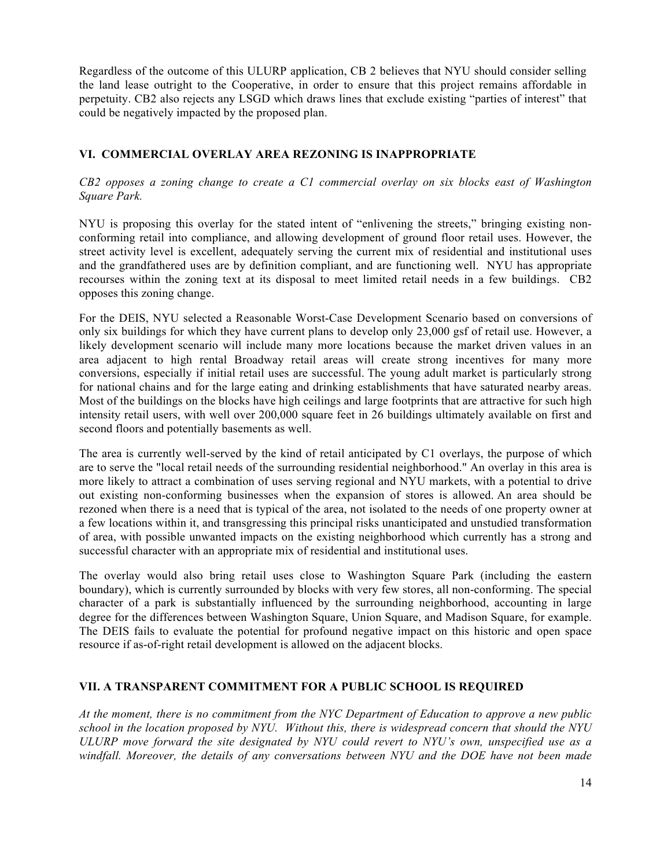Regardless of the outcome of this ULURP application, CB 2 believes that NYU should consider selling the land lease outright to the Cooperative, in order to ensure that this project remains affordable in perpetuity. CB2 also rejects any LSGD which draws lines that exclude existing "parties of interest" that could be negatively impacted by the proposed plan.

# **VI. COMMERCIAL OVERLAY AREA REZONING IS INAPPROPRIATE**

#### *CB2 opposes a zoning change to create a C1 commercial overlay on six blocks east of Washington Square Park.*

NYU is proposing this overlay for the stated intent of "enlivening the streets," bringing existing nonconforming retail into compliance, and allowing development of ground floor retail uses. However, the street activity level is excellent, adequately serving the current mix of residential and institutional uses and the grandfathered uses are by definition compliant, and are functioning well. NYU has appropriate recourses within the zoning text at its disposal to meet limited retail needs in a few buildings. CB2 opposes this zoning change.

For the DEIS, NYU selected a Reasonable Worst-Case Development Scenario based on conversions of only six buildings for which they have current plans to develop only 23,000 gsf of retail use. However, a likely development scenario will include many more locations because the market driven values in an area adjacent to high rental Broadway retail areas will create strong incentives for many more conversions, especially if initial retail uses are successful. The young adult market is particularly strong for national chains and for the large eating and drinking establishments that have saturated nearby areas. Most of the buildings on the blocks have high ceilings and large footprints that are attractive for such high intensity retail users, with well over 200,000 square feet in 26 buildings ultimately available on first and second floors and potentially basements as well.

The area is currently well-served by the kind of retail anticipated by C1 overlays, the purpose of which are to serve the "local retail needs of the surrounding residential neighborhood." An overlay in this area is more likely to attract a combination of uses serving regional and NYU markets, with a potential to drive out existing non-conforming businesses when the expansion of stores is allowed. An area should be rezoned when there is a need that is typical of the area, not isolated to the needs of one property owner at a few locations within it, and transgressing this principal risks unanticipated and unstudied transformation of area, with possible unwanted impacts on the existing neighborhood which currently has a strong and successful character with an appropriate mix of residential and institutional uses.

The overlay would also bring retail uses close to Washington Square Park (including the eastern boundary), which is currently surrounded by blocks with very few stores, all non-conforming. The special character of a park is substantially influenced by the surrounding neighborhood, accounting in large degree for the differences between Washington Square, Union Square, and Madison Square, for example. The DEIS fails to evaluate the potential for profound negative impact on this historic and open space resource if as-of-right retail development is allowed on the adjacent blocks.

# **VII. A TRANSPARENT COMMITMENT FOR A PUBLIC SCHOOL IS REQUIRED**

*At the moment, there is no commitment from the NYC Department of Education to approve a new public school in the location proposed by NYU. Without this, there is widespread concern that should the NYU ULURP move forward the site designated by NYU could revert to NYU's own, unspecified use as a windfall. Moreover, the details of any conversations between NYU and the DOE have not been made*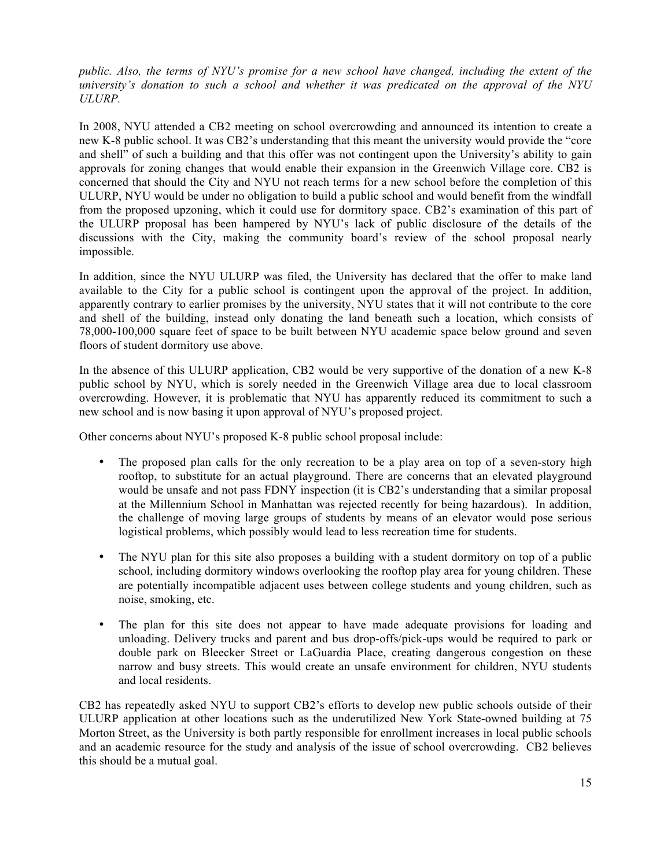*public. Also, the terms of NYU's promise for a new school have changed, including the extent of the university's donation to such a school and whether it was predicated on the approval of the NYU ULURP.* 

In 2008, NYU attended a CB2 meeting on school overcrowding and announced its intention to create a new K-8 public school. It was CB2's understanding that this meant the university would provide the "core and shell" of such a building and that this offer was not contingent upon the University's ability to gain approvals for zoning changes that would enable their expansion in the Greenwich Village core. CB2 is concerned that should the City and NYU not reach terms for a new school before the completion of this ULURP, NYU would be under no obligation to build a public school and would benefit from the windfall from the proposed upzoning, which it could use for dormitory space. CB2's examination of this part of the ULURP proposal has been hampered by NYU's lack of public disclosure of the details of the discussions with the City, making the community board's review of the school proposal nearly impossible.

In addition, since the NYU ULURP was filed, the University has declared that the offer to make land available to the City for a public school is contingent upon the approval of the project. In addition, apparently contrary to earlier promises by the university, NYU states that it will not contribute to the core and shell of the building, instead only donating the land beneath such a location, which consists of 78,000-100,000 square feet of space to be built between NYU academic space below ground and seven floors of student dormitory use above.

In the absence of this ULURP application, CB2 would be very supportive of the donation of a new K-8 public school by NYU, which is sorely needed in the Greenwich Village area due to local classroom overcrowding. However, it is problematic that NYU has apparently reduced its commitment to such a new school and is now basing it upon approval of NYU's proposed project.

Other concerns about NYU's proposed K-8 public school proposal include:

- The proposed plan calls for the only recreation to be a play area on top of a seven-story high rooftop, to substitute for an actual playground. There are concerns that an elevated playground would be unsafe and not pass FDNY inspection (it is CB2's understanding that a similar proposal at the Millennium School in Manhattan was rejected recently for being hazardous). In addition, the challenge of moving large groups of students by means of an elevator would pose serious logistical problems, which possibly would lead to less recreation time for students.
- The NYU plan for this site also proposes a building with a student dormitory on top of a public school, including dormitory windows overlooking the rooftop play area for young children. These are potentially incompatible adjacent uses between college students and young children, such as noise, smoking, etc.
- The plan for this site does not appear to have made adequate provisions for loading and unloading. Delivery trucks and parent and bus drop-offs/pick-ups would be required to park or double park on Bleecker Street or LaGuardia Place, creating dangerous congestion on these narrow and busy streets. This would create an unsafe environment for children, NYU students and local residents.

CB2 has repeatedly asked NYU to support CB2's efforts to develop new public schools outside of their ULURP application at other locations such as the underutilized New York State-owned building at 75 Morton Street, as the University is both partly responsible for enrollment increases in local public schools and an academic resource for the study and analysis of the issue of school overcrowding. CB2 believes this should be a mutual goal.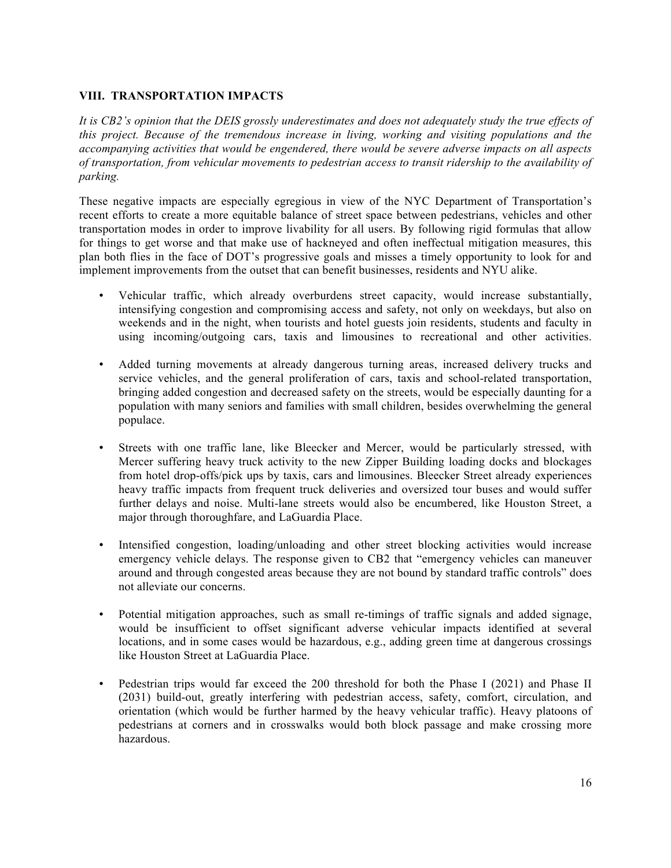# **VIII. TRANSPORTATION IMPACTS**

*It is CB2's opinion that the DEIS grossly underestimates and does not adequately study the true effects of this project. Because of the tremendous increase in living, working and visiting populations and the accompanying activities that would be engendered, there would be severe adverse impacts on all aspects of transportation, from vehicular movements to pedestrian access to transit ridership to the availability of parking.* 

These negative impacts are especially egregious in view of the NYC Department of Transportation's recent efforts to create a more equitable balance of street space between pedestrians, vehicles and other transportation modes in order to improve livability for all users. By following rigid formulas that allow for things to get worse and that make use of hackneyed and often ineffectual mitigation measures, this plan both flies in the face of DOT's progressive goals and misses a timely opportunity to look for and implement improvements from the outset that can benefit businesses, residents and NYU alike.

- Vehicular traffic, which already overburdens street capacity, would increase substantially, intensifying congestion and compromising access and safety, not only on weekdays, but also on weekends and in the night, when tourists and hotel guests join residents, students and faculty in using incoming/outgoing cars, taxis and limousines to recreational and other activities.
- Added turning movements at already dangerous turning areas, increased delivery trucks and service vehicles, and the general proliferation of cars, taxis and school-related transportation, bringing added congestion and decreased safety on the streets, would be especially daunting for a population with many seniors and families with small children, besides overwhelming the general populace.
- Streets with one traffic lane, like Bleecker and Mercer, would be particularly stressed, with Mercer suffering heavy truck activity to the new Zipper Building loading docks and blockages from hotel drop-offs/pick ups by taxis, cars and limousines. Bleecker Street already experiences heavy traffic impacts from frequent truck deliveries and oversized tour buses and would suffer further delays and noise. Multi-lane streets would also be encumbered, like Houston Street, a major through thoroughfare, and LaGuardia Place.
- Intensified congestion, loading/unloading and other street blocking activities would increase emergency vehicle delays. The response given to CB2 that "emergency vehicles can maneuver around and through congested areas because they are not bound by standard traffic controls" does not alleviate our concerns.
- Potential mitigation approaches, such as small re-timings of traffic signals and added signage, would be insufficient to offset significant adverse vehicular impacts identified at several locations, and in some cases would be hazardous, e.g., adding green time at dangerous crossings like Houston Street at LaGuardia Place.
- Pedestrian trips would far exceed the 200 threshold for both the Phase I (2021) and Phase II (2031) build-out, greatly interfering with pedestrian access, safety, comfort, circulation, and orientation (which would be further harmed by the heavy vehicular traffic). Heavy platoons of pedestrians at corners and in crosswalks would both block passage and make crossing more hazardous.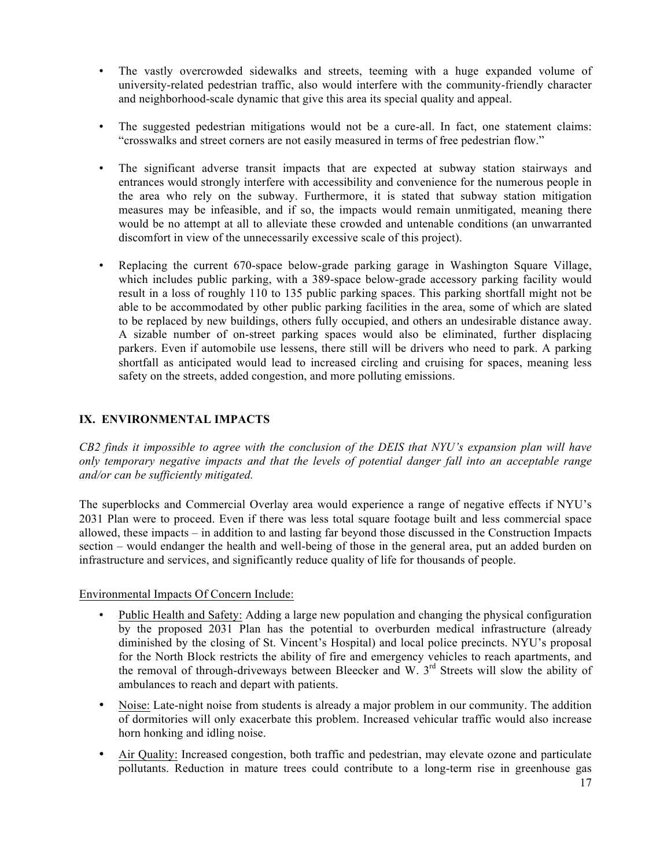- The vastly overcrowded sidewalks and streets, teeming with a huge expanded volume of university-related pedestrian traffic, also would interfere with the community-friendly character and neighborhood-scale dynamic that give this area its special quality and appeal.
- The suggested pedestrian mitigations would not be a cure-all. In fact, one statement claims: "crosswalks and street corners are not easily measured in terms of free pedestrian flow."
- The significant adverse transit impacts that are expected at subway station stairways and entrances would strongly interfere with accessibility and convenience for the numerous people in the area who rely on the subway. Furthermore, it is stated that subway station mitigation measures may be infeasible, and if so, the impacts would remain unmitigated, meaning there would be no attempt at all to alleviate these crowded and untenable conditions (an unwarranted discomfort in view of the unnecessarily excessive scale of this project).
- Replacing the current 670-space below-grade parking garage in Washington Square Village, which includes public parking, with a 389-space below-grade accessory parking facility would result in a loss of roughly 110 to 135 public parking spaces. This parking shortfall might not be able to be accommodated by other public parking facilities in the area, some of which are slated to be replaced by new buildings, others fully occupied, and others an undesirable distance away. A sizable number of on-street parking spaces would also be eliminated, further displacing parkers. Even if automobile use lessens, there still will be drivers who need to park. A parking shortfall as anticipated would lead to increased circling and cruising for spaces, meaning less safety on the streets, added congestion, and more polluting emissions.

# **IX. ENVIRONMENTAL IMPACTS**

*CB2 finds it impossible to agree with the conclusion of the DEIS that NYU's expansion plan will have only temporary negative impacts and that the levels of potential danger fall into an acceptable range and/or can be sufficiently mitigated.* 

The superblocks and Commercial Overlay area would experience a range of negative effects if NYU's 2031 Plan were to proceed. Even if there was less total square footage built and less commercial space allowed, these impacts – in addition to and lasting far beyond those discussed in the Construction Impacts section – would endanger the health and well-being of those in the general area, put an added burden on infrastructure and services, and significantly reduce quality of life for thousands of people.

Environmental Impacts Of Concern Include:

- Public Health and Safety: Adding a large new population and changing the physical configuration by the proposed 2031 Plan has the potential to overburden medical infrastructure (already diminished by the closing of St. Vincent's Hospital) and local police precincts. NYU's proposal for the North Block restricts the ability of fire and emergency vehicles to reach apartments, and the removal of through-driveways between Bleecker and W.  $3<sup>rd</sup>$  Streets will slow the ability of ambulances to reach and depart with patients.
- Noise: Late-night noise from students is already a major problem in our community. The addition of dormitories will only exacerbate this problem. Increased vehicular traffic would also increase horn honking and idling noise.
- Air Quality: Increased congestion, both traffic and pedestrian, may elevate ozone and particulate pollutants. Reduction in mature trees could contribute to a long-term rise in greenhouse gas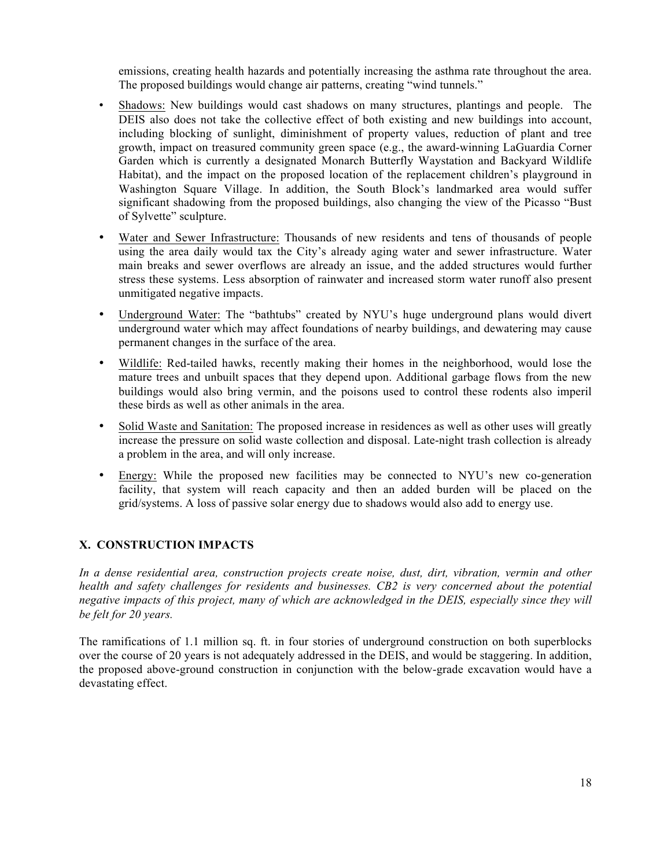emissions, creating health hazards and potentially increasing the asthma rate throughout the area. The proposed buildings would change air patterns, creating "wind tunnels."

- Shadows: New buildings would cast shadows on many structures, plantings and people. The DEIS also does not take the collective effect of both existing and new buildings into account, including blocking of sunlight, diminishment of property values, reduction of plant and tree growth, impact on treasured community green space (e.g., the award-winning LaGuardia Corner Garden which is currently a designated Monarch Butterfly Waystation and Backyard Wildlife Habitat), and the impact on the proposed location of the replacement children's playground in Washington Square Village. In addition, the South Block's landmarked area would suffer significant shadowing from the proposed buildings, also changing the view of the Picasso "Bust of Sylvette" sculpture.
- Water and Sewer Infrastructure: Thousands of new residents and tens of thousands of people using the area daily would tax the City's already aging water and sewer infrastructure. Water main breaks and sewer overflows are already an issue, and the added structures would further stress these systems. Less absorption of rainwater and increased storm water runoff also present unmitigated negative impacts.
- Underground Water: The "bathtubs" created by NYU's huge underground plans would divert underground water which may affect foundations of nearby buildings, and dewatering may cause permanent changes in the surface of the area.
- Wildlife: Red-tailed hawks, recently making their homes in the neighborhood, would lose the mature trees and unbuilt spaces that they depend upon. Additional garbage flows from the new buildings would also bring vermin, and the poisons used to control these rodents also imperil these birds as well as other animals in the area.
- Solid Waste and Sanitation: The proposed increase in residences as well as other uses will greatly increase the pressure on solid waste collection and disposal. Late-night trash collection is already a problem in the area, and will only increase.
- Energy: While the proposed new facilities may be connected to NYU's new co-generation facility, that system will reach capacity and then an added burden will be placed on the grid/systems. A loss of passive solar energy due to shadows would also add to energy use.

# **X. CONSTRUCTION IMPACTS**

*In a dense residential area, construction projects create noise, dust, dirt, vibration, vermin and other health and safety challenges for residents and businesses. CB2 is very concerned about the potential negative impacts of this project, many of which are acknowledged in the DEIS, especially since they will be felt for 20 years.*

The ramifications of 1.1 million sq. ft. in four stories of underground construction on both superblocks over the course of 20 years is not adequately addressed in the DEIS, and would be staggering. In addition, the proposed above-ground construction in conjunction with the below-grade excavation would have a devastating effect.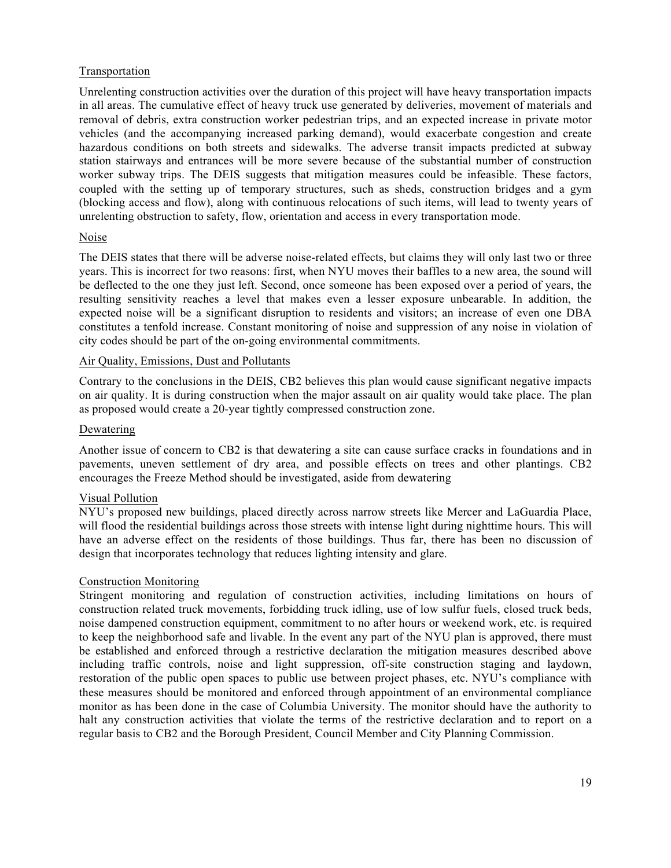## Transportation

Unrelenting construction activities over the duration of this project will have heavy transportation impacts in all areas. The cumulative effect of heavy truck use generated by deliveries, movement of materials and removal of debris, extra construction worker pedestrian trips, and an expected increase in private motor vehicles (and the accompanying increased parking demand), would exacerbate congestion and create hazardous conditions on both streets and sidewalks. The adverse transit impacts predicted at subway station stairways and entrances will be more severe because of the substantial number of construction worker subway trips. The DEIS suggests that mitigation measures could be infeasible. These factors, coupled with the setting up of temporary structures, such as sheds, construction bridges and a gym (blocking access and flow), along with continuous relocations of such items, will lead to twenty years of unrelenting obstruction to safety, flow, orientation and access in every transportation mode.

#### Noise

The DEIS states that there will be adverse noise-related effects, but claims they will only last two or three years. This is incorrect for two reasons: first, when NYU moves their baffles to a new area, the sound will be deflected to the one they just left. Second, once someone has been exposed over a period of years, the resulting sensitivity reaches a level that makes even a lesser exposure unbearable. In addition, the expected noise will be a significant disruption to residents and visitors; an increase of even one DBA constitutes a tenfold increase. Constant monitoring of noise and suppression of any noise in violation of city codes should be part of the on-going environmental commitments.

## Air Quality, Emissions, Dust and Pollutants

Contrary to the conclusions in the DEIS, CB2 believes this plan would cause significant negative impacts on air quality. It is during construction when the major assault on air quality would take place. The plan as proposed would create a 20-year tightly compressed construction zone.

#### Dewatering

Another issue of concern to CB2 is that dewatering a site can cause surface cracks in foundations and in pavements, uneven settlement of dry area, and possible effects on trees and other plantings. CB2 encourages the Freeze Method should be investigated, aside from dewatering

# Visual Pollution

NYU's proposed new buildings, placed directly across narrow streets like Mercer and LaGuardia Place, will flood the residential buildings across those streets with intense light during nighttime hours. This will have an adverse effect on the residents of those buildings. Thus far, there has been no discussion of design that incorporates technology that reduces lighting intensity and glare.

## Construction Monitoring

Stringent monitoring and regulation of construction activities, including limitations on hours of construction related truck movements, forbidding truck idling, use of low sulfur fuels, closed truck beds, noise dampened construction equipment, commitment to no after hours or weekend work, etc. is required to keep the neighborhood safe and livable. In the event any part of the NYU plan is approved, there must be established and enforced through a restrictive declaration the mitigation measures described above including traffic controls, noise and light suppression, off-site construction staging and laydown, restoration of the public open spaces to public use between project phases, etc. NYU's compliance with these measures should be monitored and enforced through appointment of an environmental compliance monitor as has been done in the case of Columbia University. The monitor should have the authority to halt any construction activities that violate the terms of the restrictive declaration and to report on a regular basis to CB2 and the Borough President, Council Member and City Planning Commission.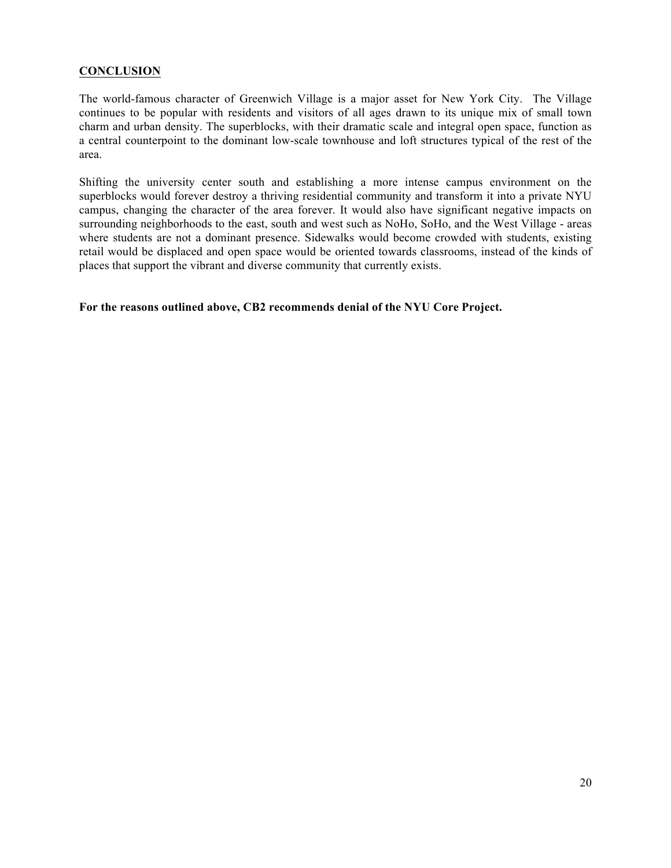## **CONCLUSION**

The world-famous character of Greenwich Village is a major asset for New York City. The Village continues to be popular with residents and visitors of all ages drawn to its unique mix of small town charm and urban density. The superblocks, with their dramatic scale and integral open space, function as a central counterpoint to the dominant low-scale townhouse and loft structures typical of the rest of the area.

Shifting the university center south and establishing a more intense campus environment on the superblocks would forever destroy a thriving residential community and transform it into a private NYU campus, changing the character of the area forever. It would also have significant negative impacts on surrounding neighborhoods to the east, south and west such as NoHo, SoHo, and the West Village - areas where students are not a dominant presence. Sidewalks would become crowded with students, existing retail would be displaced and open space would be oriented towards classrooms, instead of the kinds of places that support the vibrant and diverse community that currently exists.

**For the reasons outlined above, CB2 recommends denial of the NYU Core Project.**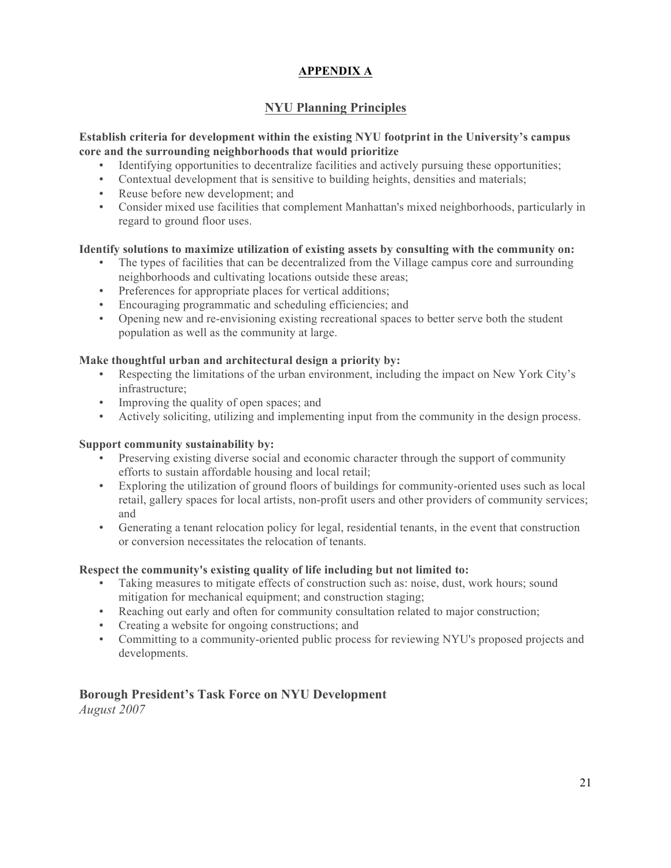# **APPENDIX A**

# **NYU Planning Principles**

# **Establish criteria for development within the existing NYU footprint in the University's campus core and the surrounding neighborhoods that would prioritize**

- Identifying opportunities to decentralize facilities and actively pursuing these opportunities;
- Contextual development that is sensitive to building heights, densities and materials;
- Reuse before new development; and
- Consider mixed use facilities that complement Manhattan's mixed neighborhoods, particularly in regard to ground floor uses.

# **Identify solutions to maximize utilization of existing assets by consulting with the community on:**

- The types of facilities that can be decentralized from the Village campus core and surrounding neighborhoods and cultivating locations outside these areas;
- Preferences for appropriate places for vertical additions;
- Encouraging programmatic and scheduling efficiencies; and
- Opening new and re-envisioning existing recreational spaces to better serve both the student population as well as the community at large.

# **Make thoughtful urban and architectural design a priority by:**

- Respecting the limitations of the urban environment, including the impact on New York City's infrastructure;
- Improving the quality of open spaces; and
- Actively soliciting, utilizing and implementing input from the community in the design process.

## **Support community sustainability by:**

- Preserving existing diverse social and economic character through the support of community efforts to sustain affordable housing and local retail;
- Exploring the utilization of ground floors of buildings for community-oriented uses such as local retail, gallery spaces for local artists, non-profit users and other providers of community services; and
- Generating a tenant relocation policy for legal, residential tenants, in the event that construction or conversion necessitates the relocation of tenants.

## **Respect the community's existing quality of life including but not limited to:**

- Taking measures to mitigate effects of construction such as: noise, dust, work hours; sound mitigation for mechanical equipment; and construction staging;
- Reaching out early and often for community consultation related to major construction;
- Creating a website for ongoing constructions; and
- Committing to a community-oriented public process for reviewing NYU's proposed projects and developments.

# **Borough President's Task Force on NYU Development**

*August 2007*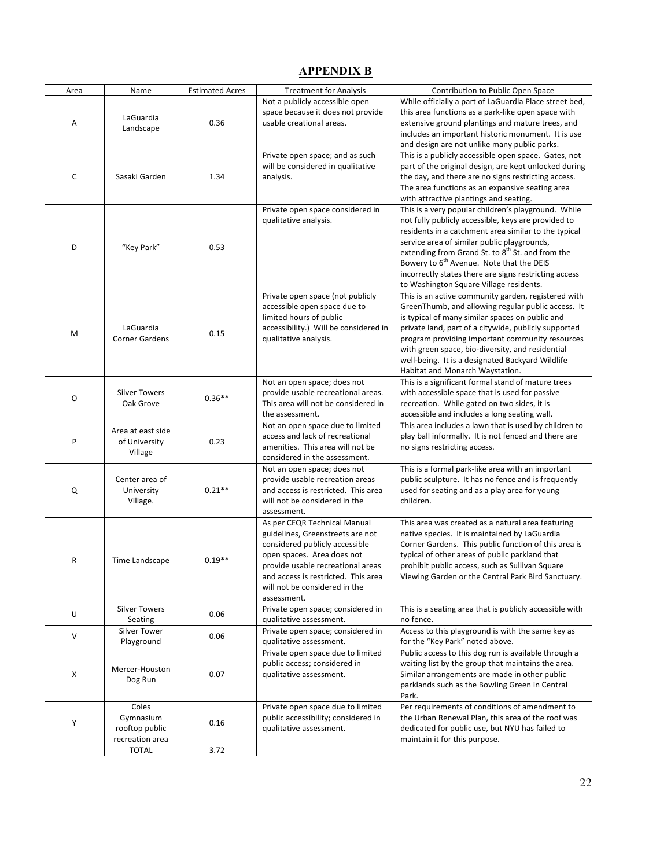# **APPENDIX B**

| Area | Name                                                    | <b>Estimated Acres</b> | <b>Treatment for Analysis</b>                                                                                                                                                                                                                                | Contribution to Public Open Space                                                                                                                                                                                                                                                                                                                                                                                                             |
|------|---------------------------------------------------------|------------------------|--------------------------------------------------------------------------------------------------------------------------------------------------------------------------------------------------------------------------------------------------------------|-----------------------------------------------------------------------------------------------------------------------------------------------------------------------------------------------------------------------------------------------------------------------------------------------------------------------------------------------------------------------------------------------------------------------------------------------|
| Α    | LaGuardia<br>Landscape                                  | 0.36                   | Not a publicly accessible open<br>space because it does not provide<br>usable creational areas.                                                                                                                                                              | While officially a part of LaGuardia Place street bed,<br>this area functions as a park-like open space with<br>extensive ground plantings and mature trees, and<br>includes an important historic monument. It is use                                                                                                                                                                                                                        |
| С    | Sasaki Garden                                           | 1.34                   | Private open space; and as such<br>will be considered in qualitative<br>analysis.                                                                                                                                                                            | and design are not unlike many public parks.<br>This is a publicly accessible open space. Gates, not<br>part of the original design, are kept unlocked during<br>the day, and there are no signs restricting access.<br>The area functions as an expansive seating area<br>with attractive plantings and seating.                                                                                                                             |
| D    | "Key Park"                                              | 0.53                   | Private open space considered in<br>qualitative analysis.                                                                                                                                                                                                    | This is a very popular children's playground. While<br>not fully publicly accessible, keys are provided to<br>residents in a catchment area similar to the typical<br>service area of similar public playgrounds,<br>extending from Grand St. to 8 <sup>th</sup> St. and from the<br>Bowery to 6 <sup>th</sup> Avenue. Note that the DEIS<br>incorrectly states there are signs restricting access<br>to Washington Square Village residents. |
| M    | LaGuardia<br><b>Corner Gardens</b>                      | 0.15                   | Private open space (not publicly<br>accessible open space due to<br>limited hours of public<br>accessibility.) Will be considered in<br>qualitative analysis.                                                                                                | This is an active community garden, registered with<br>GreenThumb, and allowing regular public access. It<br>is typical of many similar spaces on public and<br>private land, part of a citywide, publicly supported<br>program providing important community resources<br>with green space, bio-diversity, and residential<br>well-being. It is a designated Backyard Wildlife<br>Habitat and Monarch Waystation.                            |
| 0    | <b>Silver Towers</b><br>Oak Grove                       | $0.36**$               | Not an open space; does not<br>provide usable recreational areas.<br>This area will not be considered in<br>the assessment.                                                                                                                                  | This is a significant formal stand of mature trees<br>with accessible space that is used for passive<br>recreation. While gated on two sides, it is<br>accessible and includes a long seating wall.                                                                                                                                                                                                                                           |
| P    | Area at east side<br>of University<br>Village           | 0.23                   | Not an open space due to limited<br>access and lack of recreational<br>amenities. This area will not be<br>considered in the assessment.                                                                                                                     | This area includes a lawn that is used by children to<br>play ball informally. It is not fenced and there are<br>no signs restricting access.                                                                                                                                                                                                                                                                                                 |
| Q    | Center area of<br>University<br>Village.                | $0.21**$               | Not an open space; does not<br>provide usable recreation areas<br>and access is restricted. This area<br>will not be considered in the<br>assessment.                                                                                                        | This is a formal park-like area with an important<br>public sculpture. It has no fence and is frequently<br>used for seating and as a play area for young<br>children.                                                                                                                                                                                                                                                                        |
| R    | Time Landscape                                          | $0.19**$               | As per CEQR Technical Manual<br>guidelines, Greenstreets are not<br>considered publicly accessible<br>open spaces. Area does not<br>provide usable recreational areas<br>and access is restricted. This area<br>will not be considered in the<br>assessment. | This area was created as a natural area featuring<br>native species. It is maintained by LaGuardia<br>Corner Gardens. This public function of this area is<br>typical of other areas of public parkland that<br>prohibit public access, such as Sullivan Square<br>Viewing Garden or the Central Park Bird Sanctuary.                                                                                                                         |
| U    | <b>Silver Towers</b><br>Seating                         | 0.06                   | Private open space; considered in<br>qualitative assessment.                                                                                                                                                                                                 | This is a seating area that is publicly accessible with<br>no fence.                                                                                                                                                                                                                                                                                                                                                                          |
| V    | Silver Tower<br>Playground                              | 0.06                   | Private open space; considered in<br>qualitative assessment.                                                                                                                                                                                                 | Access to this playground is with the same key as<br>for the "Key Park" noted above.                                                                                                                                                                                                                                                                                                                                                          |
| X    | Mercer-Houston<br>Dog Run                               | 0.07                   | Private open space due to limited<br>public access; considered in<br>qualitative assessment.                                                                                                                                                                 | Public access to this dog run is available through a<br>waiting list by the group that maintains the area.<br>Similar arrangements are made in other public<br>parklands such as the Bowling Green in Central<br>Park.                                                                                                                                                                                                                        |
| Υ    | Coles<br>Gymnasium<br>rooftop public<br>recreation area | 0.16                   | Private open space due to limited<br>public accessibility; considered in<br>qualitative assessment.                                                                                                                                                          | Per requirements of conditions of amendment to<br>the Urban Renewal Plan, this area of the roof was<br>dedicated for public use, but NYU has failed to<br>maintain it for this purpose.                                                                                                                                                                                                                                                       |
|      | <b>TOTAL</b>                                            | 3.72                   |                                                                                                                                                                                                                                                              |                                                                                                                                                                                                                                                                                                                                                                                                                                               |